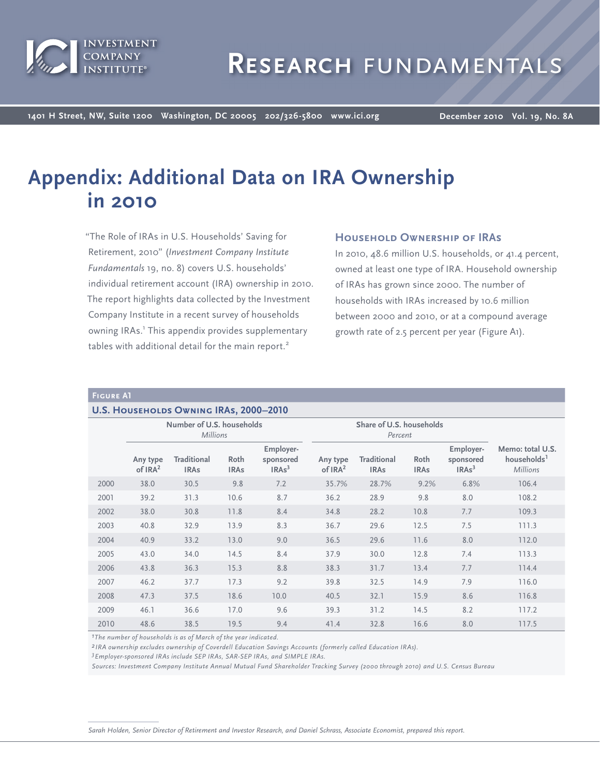

**1401 H Street, NW, Suite 1200 Washington, DC 20005 202/326-5800 www.ici.org**

**December 2010 Vol. 19, No. 8A**

# **Appendix: Additional Data on IRA Ownership in 2010**

"The Role of IRAs in U.S. Households' Saving for Retirement, 2010" (*Investment Company Institute Fundamentals* 19, no. 8) covers U.S. households' individual retirement account (IRA) ownership in 2010. The report highlights data collected by the Investment Company Institute in a recent survey of households owning IRAs.<sup>1</sup> This appendix provides supplementary tables with additional detail for the main report.<sup>2</sup>

# **Household Ownership of IRAs**

In 2010, 48.6 million U.S. households, or 41.4 percent, owned at least one type of IRA. Household ownership of IRAs has grown since 2000. The number of households with IRAs increased by 10.6 million between 2000 and 2010, or at a compound average growth rate of 2.5 percent per year (Figure A1).

## **Figure A1**

#### **U.S. HOUSEHOLDS OWNING IRAS, 2000-2010**

|      |                       | Number of U.S. households<br>Share of U.S. households<br><b>Millions</b><br>Percent |                     |                                             |                                 |                                   |                     |                                             |                                                                |
|------|-----------------------|-------------------------------------------------------------------------------------|---------------------|---------------------------------------------|---------------------------------|-----------------------------------|---------------------|---------------------------------------------|----------------------------------------------------------------|
|      | Any type<br>of $IRA2$ | <b>Traditional</b><br><b>IRAs</b>                                                   | Roth<br><b>IRAs</b> | Employer-<br>sponsored<br>IRAs <sup>3</sup> | Any type<br>of IRA <sup>2</sup> | <b>Traditional</b><br><b>IRAs</b> | Roth<br><b>IRAs</b> | Employer-<br>sponsored<br>IRAs <sup>3</sup> | Memo: total U.S.<br>households <sup>1</sup><br><b>Millions</b> |
| 2000 | 38.0                  | 30.5                                                                                | 9.8                 | 7.2                                         | 35.7%                           | 28.7%                             | 9.2%                | 6.8%                                        | 106.4                                                          |
| 2001 | 39.2                  | 31.3                                                                                | 10.6                | 8.7                                         | 36.2                            | 28.9                              | 9.8                 | 8.0                                         | 108.2                                                          |
| 2002 | 38.0                  | 30.8                                                                                | 11.8                | 8.4                                         | 34.8                            | 28.2                              | 10.8                | 7.7                                         | 109.3                                                          |
| 2003 | 40.8                  | 32.9                                                                                | 13.9                | 8.3                                         | 36.7                            | 29.6                              | 12.5                | 7.5                                         | 111.3                                                          |
| 2004 | 40.9                  | 33.2                                                                                | 13.0                | 9.0                                         | 36.5                            | 29.6                              | 11.6                | 8.0                                         | 112.0                                                          |
| 2005 | 43.0                  | 34.0                                                                                | 14.5                | 8.4                                         | 37.9                            | 30.0                              | 12.8                | 7.4                                         | 113.3                                                          |
| 2006 | 43.8                  | 36.3                                                                                | 15.3                | 8.8                                         | 38.3                            | 31.7                              | 13.4                | 7.7                                         | 114.4                                                          |
| 2007 | 46.2                  | 37.7                                                                                | 17.3                | 9.2                                         | 39.8                            | 32.5                              | 14.9                | 7.9                                         | 116.0                                                          |
| 2008 | 47.3                  | 37.5                                                                                | 18.6                | 10.0                                        | 40.5                            | 32.1                              | 15.9                | 8.6                                         | 116.8                                                          |
| 2009 | 46.1                  | 36.6                                                                                | 17.0                | 9.6                                         | 39.3                            | 31.2                              | 14.5                | 8.2                                         | 117.2                                                          |
| 2010 | 48.6                  | 38.5                                                                                | 19.5                | 9.4                                         | 41.4                            | 32.8                              | 16.6                | 8.0                                         | 117.5                                                          |

*1The number of households is as of March of the year indicated.*

*2 IRA ownership excludes ownership of Coverdell Education Savings Accounts (formerly called Education IRAs).*

*3Employer-sponsored IRAs include SEP IRAs, SAR-SEP IRAs, and SIMPLE IRAs.*

*Sources: Investment Company Institute Annual Mutual Fund Shareholder Tracking Survey (2000 through 2010) and U.S. Census Bureau*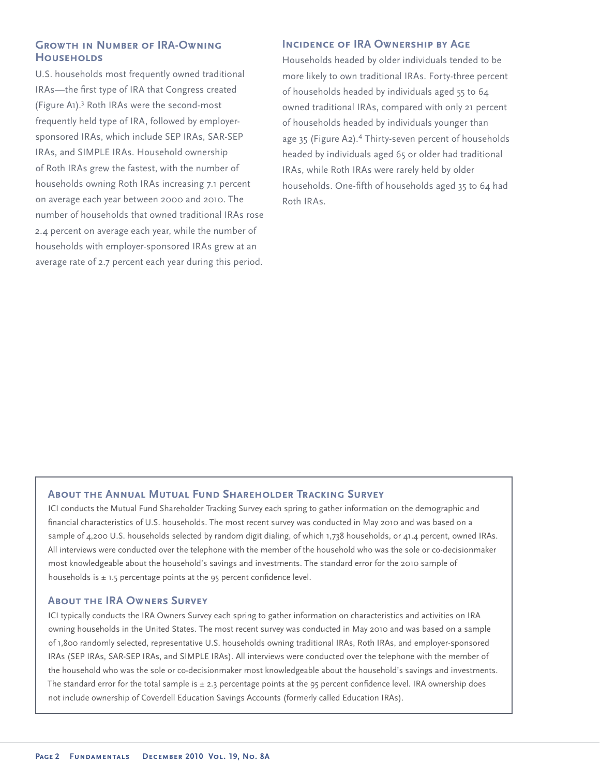# **GROWTH IN NUMBER OF IRA-OWNING Households**

U.S. households most frequently owned traditional IRAs—the first type of IRA that Congress created (Figure A1).<sup>3</sup> Roth IRAs were the second-most frequently held type of IRA, followed by employersponsored IRAs, which include SEP IRAs, SAR-SEP IRAs, and SIMPLE IRAs. Household ownership of Roth IRAs grew the fastest, with the number of households owning Roth IRAs increasing 7.1 percent on average each year between 2000 and 2010. The number of households that owned traditional IRAs rose 2.4 percent on average each year, while the number of households with employer-sponsored IRAs grew at an average rate of 2.7 percent each year during this period.

# **INCIDENCE OF IRA OWNERSHIP BY AGE**

Households headed by older individuals tended to be more likely to own traditional IRAs. Forty-three percent of households headed by individuals aged 55 to 64 owned traditional IRAs, compared with only 21 percent of households headed by individuals younger than age 35 (Figure A2).<sup>4</sup> Thirty-seven percent of households headed by individuals aged 65 or older had traditional IRAs, while Roth IRAs were rarely held by older households. One-fifth of households aged 35 to 64 had Roth IRAs.

# **About the Annual Mutual Fund Shareholder Tracking Survey**

ICI conducts the Mutual Fund Shareholder Tracking Survey each spring to gather information on the demographic and financial characteristics of U.S. households. The most recent survey was conducted in May 2010 and was based on a sample of 4,200 U.S. households selected by random digit dialing, of which 1,738 households, or 41.4 percent, owned IRAs. All interviews were conducted over the telephone with the member of the household who was the sole or co-decisionmaker most knowledgeable about the household's savings and investments. The standard error for the 2010 sample of households is  $\pm$  1.5 percentage points at the 95 percent confidence level.

#### **About the IRA Owners Survey**

ICI typically conducts the IRA Owners Survey each spring to gather information on characteristics and activities on IRA owning households in the United States. The most recent survey was conducted in May 2010 and was based on a sample of 1,800 randomly selected, representative U.S. households owning traditional IRAs, Roth IRAs, and employer-sponsored IRAs (SEP IRAs, SAR-SEP IRAs, and SIMPLE IRAs). All interviews were conducted over the telephone with the member of the household who was the sole or co-decisionmaker most knowledgeable about the household's savings and investments. The standard error for the total sample is  $\pm$  2.3 percentage points at the 95 percent confidence level. IRA ownership does not include ownership of Coverdell Education Savings Accounts (formerly called Education IRAs).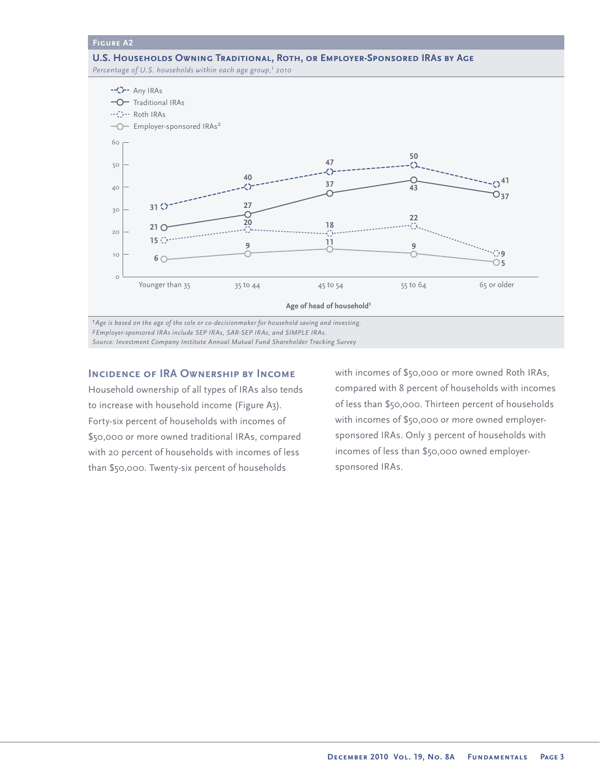**U.S. Households Owning Traditional, Roth, or Employer-Sponsored IRAs by Age** Percentage of U.S. households within each age group,<sup>1</sup> 2010



*1Age is based on the age of the sole or co-decisionmaker for household saving and investing.*

*2Employer-sponsored IRAs include SEP IRAs, SAR-SEP IRAs, and SIMPLE IRAs.*

*Source: Investment Company Institute Annual Mutual Fund Shareholder Tracking Survey*

# **Incidence of IRA Ownership by Income**

Household ownership of all types of IRAs also tends to increase with household income (Figure A3). Forty-six percent of households with incomes of \$50,000 or more owned traditional IRAs, compared with 20 percent of households with incomes of less than \$50,000. Twenty-six percent of households

with incomes of \$50,000 or more owned Roth IRAs, compared with 8 percent of households with incomes of less than \$50,000. Thirteen percent of households with incomes of \$50,000 or more owned employersponsored IRAs. Only 3 percent of households with incomes of less than \$50,000 owned employersponsored IRAs.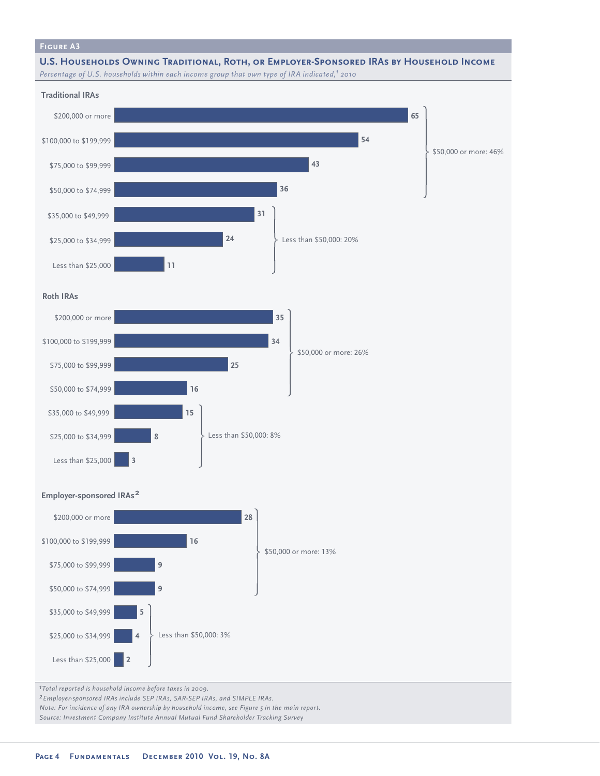**U.S. Households Owning Traditional, Roth, or Employer-Sponsored IRAs by Household Income** *Percentage of U.S. households within each income group that own type of IRA indicated,1 2010*



*Source: Investment Company Institute Annual Mutual Fund Shareholder Tracking Survey*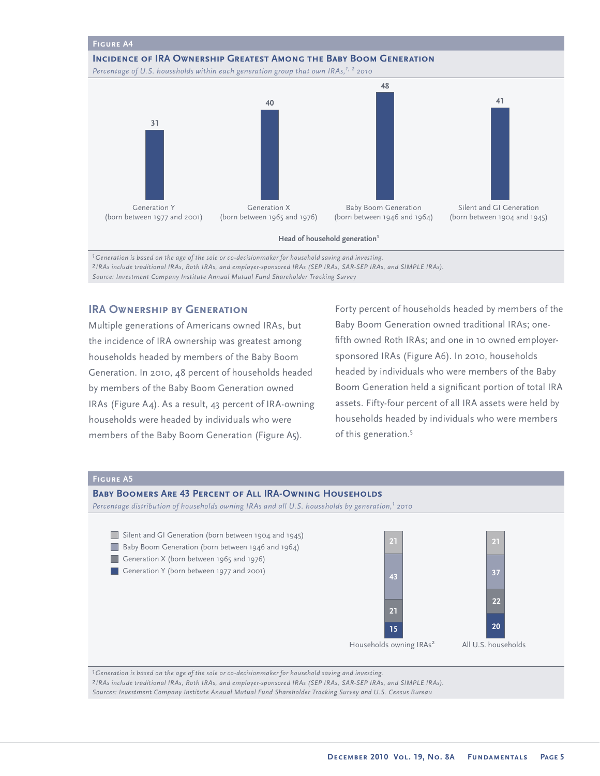# **Figure A4 Incidence of IRA Ownership Greatest Among the Baby Boom Generation** *Percentage of U.S. households within each generation group that own IRAs,<sup>1, 2</sup> 2010* **31 40 48 41** Silent and GI Generation (born between 1904 and 1945) Baby Boom Generation (born between 1946 and 1964) Generation X (born between 1965 and 1976) Generation Y (born between 1977 and 2001)

**Head of household generation1**

*1Generation is based on the age of the sole or co-decisionmaker for household saving and investing. 2 IRAs include traditional IRAs, Roth IRAs, and employer-sponsored IRAs (SEP IRAs, SAR-SEP IRAs, and SIMPLE IRAs). Source: Investment Company Institute Annual Mutual Fund Shareholder Tracking Survey* 

# **IRA OWNERSHIP BY GENERATION**

Multiple generations of Americans owned IRAs, but the incidence of IRA ownership was greatest among households headed by members of the Baby Boom Generation. In 2010, 48 percent of households headed by members of the Baby Boom Generation owned IRAs (Figure A4). As a result, 43 percent of IRA-owning households were headed by individuals who were members of the Baby Boom Generation (Figure A5).

Forty percent of households headed by members of the Baby Boom Generation owned traditional IRAs; onefifth owned Roth IRAs; and one in 10 owned employersponsored IRAs (Figure A6). In 2010, households headed by individuals who were members of the Baby Boom Generation held a significant portion of total IRA assets. Fifty-four percent of all IRA assets were held by households headed by individuals who were members of this generation.<sup>5</sup>



*2 IRAs include traditional IRAs, Roth IRAs, and employer-sponsored IRAs (SEP IRAs, SAR-SEP IRAs, and SIMPLE IRAs). Sources: Investment Company Institute Annual Mutual Fund Shareholder Tracking Survey and U.S. Census Bureau*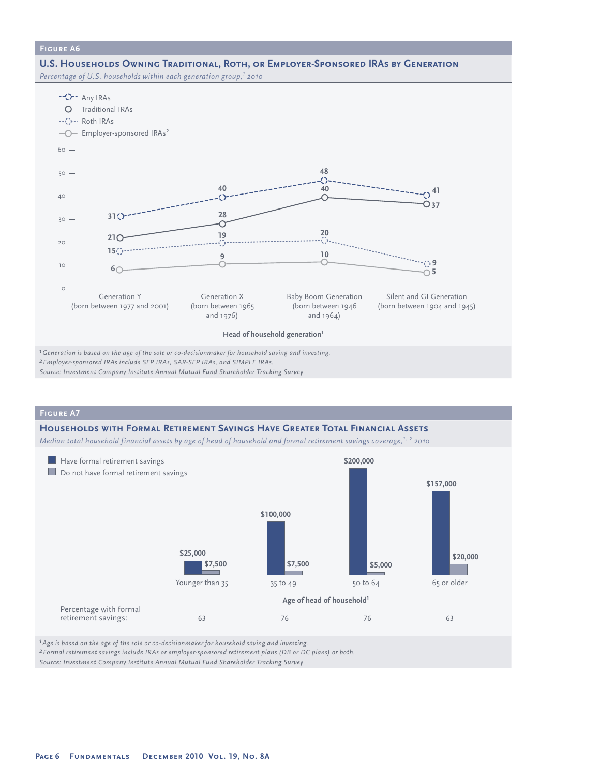#### **U.S. Households Owning Traditional, Roth, or Employer-Sponsored IRAs by Generation**

Percentage of U.S. households within each generation group,<sup>1</sup> 2010



*2Employer-sponsored IRAs include SEP IRAs, SAR-SEP IRAs, and SIMPLE IRAs.*

*Source: Investment Company Institute Annual Mutual Fund Shareholder Tracking Survey*

# **Figure A7**

#### **Households with Formal Retirement Savings Have Greater Total Financial Assets**

*Median total household financial assets by age of head of household and formal retirement savings coverage,1, 2 2010*



*1Age is based on the age of the sole or co-decisionmaker for household saving and investing.*

*2Formal retirement savings include IRAs or employer-sponsored retirement plans (DB or DC plans) or both.*

*Source: Investment Company Institute Annual Mutual Fund Shareholder Tracking Survey*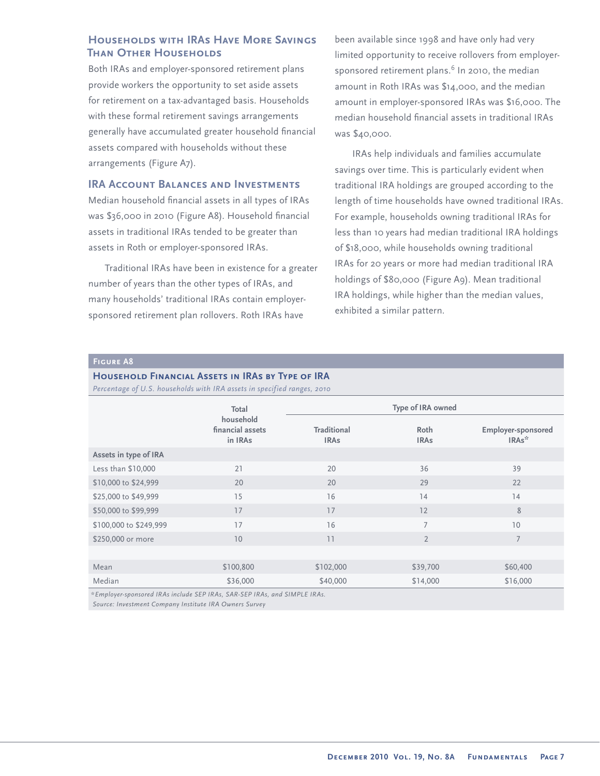# **Households with IRAs Have More Savings Than Other Households**

Both IRAs and employer-sponsored retirement plans provide workers the opportunity to set aside assets for retirement on a tax-advantaged basis. Households with these formal retirement savings arrangements generally have accumulated greater household financial assets compared with households without these arrangements (Figure A7).

## **IRA ACCOUNT BALANCES AND INVESTMENTS**

Median household financial assets in all types of IRAs was \$36,000 in 2010 (Figure A8). Household financial assets in traditional IRAs tended to be greater than assets in Roth or employer-sponsored IRAs.

Traditional IRAs have been in existence for a greater number of years than the other types of IRAs, and many households' traditional IRAs contain employersponsored retirement plan rollovers. Roth IRAs have

been available since 1998 and have only had very limited opportunity to receive rollovers from employersponsored retirement plans. $^6$  In 2010, the median amount in Roth IRAs was \$14,000, and the median amount in employer-sponsored IRAs was \$16,000. The median household financial assets in traditional IRAs was \$40,000.

IRAs help individuals and families accumulate savings over time. This is particularly evident when traditional IRA holdings are grouped according to the length of time households have owned traditional IRAs. For example, households owning traditional IRAs for less than 10 years had median traditional IRA holdings of \$18,000, while households owning traditional IRAs for 20 years or more had median traditional IRA holdings of \$80,000 (Figure A9). Mean traditional IRA holdings, while higher than the median values, exhibited a similar pattern.

#### **Figure A8**

| <b>HOUSEHOLD FINANCIAL ASSETS IN IRAS BY TYPE OF IRA</b> |  |  |
|----------------------------------------------------------|--|--|
|----------------------------------------------------------|--|--|

*Percentage of U.S. households with IRA assets in specified ranges, 2010*

| Total                                    | Type of IRA owned                                        |                                                                                                                                                                                                                                           |                                                |  |  |
|------------------------------------------|----------------------------------------------------------|-------------------------------------------------------------------------------------------------------------------------------------------------------------------------------------------------------------------------------------------|------------------------------------------------|--|--|
| household<br>financial assets<br>in IRAs | <b>Traditional</b><br>Roth<br><b>IRAs</b><br><b>IRAs</b> |                                                                                                                                                                                                                                           | <b>Employer-sponsored</b><br>IRAs <sup>*</sup> |  |  |
|                                          |                                                          |                                                                                                                                                                                                                                           |                                                |  |  |
| 21                                       | 20                                                       | 36                                                                                                                                                                                                                                        | 39                                             |  |  |
| 20                                       | 20                                                       | 29                                                                                                                                                                                                                                        | 22                                             |  |  |
| 15                                       | 16                                                       | 14                                                                                                                                                                                                                                        | 14                                             |  |  |
| 17                                       | 17                                                       | 12                                                                                                                                                                                                                                        | $8\,$                                          |  |  |
| 17                                       | 16                                                       | 7                                                                                                                                                                                                                                         | 10                                             |  |  |
| 10                                       | 11                                                       | $\overline{2}$                                                                                                                                                                                                                            | $\overline{7}$                                 |  |  |
|                                          |                                                          |                                                                                                                                                                                                                                           |                                                |  |  |
| \$100,800                                | \$102,000                                                | \$39,700                                                                                                                                                                                                                                  | \$60,400                                       |  |  |
| \$36,000                                 | \$40,000                                                 | \$14,000                                                                                                                                                                                                                                  | \$16,000                                       |  |  |
|                                          |                                                          | $\mathbf{r}$ , and $\mathbf{r}$ , and $\mathbf{r}$ , and the second contract of the second contract of the second contract of the second contract of the second contract of the second contract of the second contract of the second cont |                                                |  |  |

*\*Employer-sponsored IRAs include SEP IRAs, SAR-SEP IRAs, and SIMPLE IRAs.*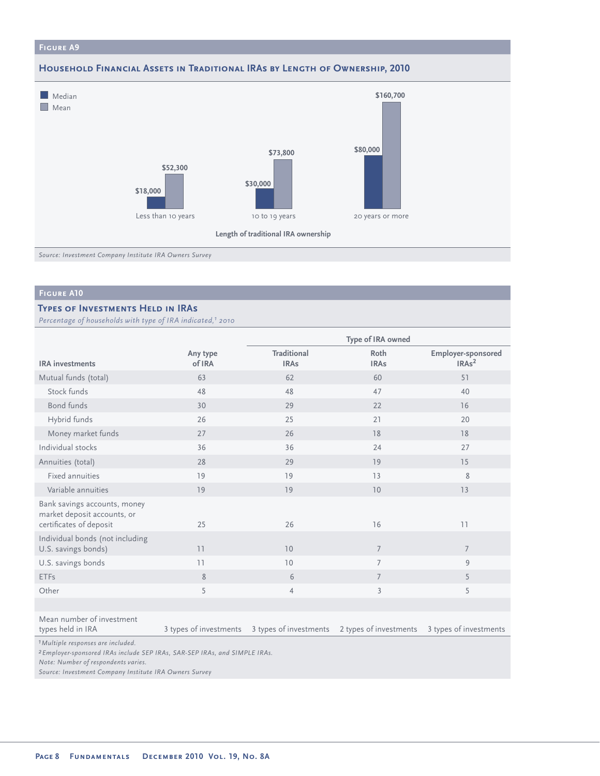#### **Household Financial Assets in Traditional IRAs by Length of Ownership, 2010**



*Source: Investment Company Institute IRA Owners Survey*

## **Figure A10**

## **Types of Investments Held in IRAs**

*Percentage of households with type of IRA indicated,1 2010*

|                                                                                        |                        | Type of IRA owned                 |                        |                                                |  |
|----------------------------------------------------------------------------------------|------------------------|-----------------------------------|------------------------|------------------------------------------------|--|
| <b>IRA</b> investments                                                                 | Any type<br>of IRA     | <b>Traditional</b><br><b>IRAs</b> | Roth<br><b>IRAs</b>    | <b>Employer-sponsored</b><br>IRAs <sup>2</sup> |  |
| Mutual funds (total)                                                                   | 63                     | 62                                | 60                     | 51                                             |  |
| Stock funds                                                                            | 48                     | 48                                | 47                     | 40                                             |  |
| <b>Bond funds</b>                                                                      | 30                     | 29                                | 22                     | 16                                             |  |
| Hybrid funds                                                                           | 26                     | 25                                | 21                     | 20                                             |  |
| Money market funds                                                                     | 27                     | 26                                | 18                     | 18                                             |  |
| Individual stocks                                                                      | 36                     | 36                                | 24                     | 27                                             |  |
| Annuities (total)                                                                      | 28                     | 29                                | 19                     | 15                                             |  |
| Fixed annuities                                                                        | 19                     | 19                                | 13                     | 8                                              |  |
| Variable annuities                                                                     | 19                     | 19                                | 10                     | 13                                             |  |
| Bank savings accounts, money<br>market deposit accounts, or<br>certificates of deposit | 25                     | 26                                | 16                     | 11                                             |  |
| Individual bonds (not including<br>U.S. savings bonds)                                 | 11                     | 10                                | $\overline{7}$         | $\overline{7}$                                 |  |
| U.S. savings bonds                                                                     | 11                     | 10                                | $\overline{7}$         | 9                                              |  |
| <b>ETFs</b>                                                                            | 8                      | 6                                 | $\overline{7}$         | 5                                              |  |
| Other                                                                                  | 5                      | $\overline{4}$                    | $\overline{3}$         | 5                                              |  |
|                                                                                        |                        |                                   |                        |                                                |  |
| Mean number of investment<br>types held in IRA                                         | 3 types of investments | 3 types of investments            | 2 types of investments | 3 types of investments                         |  |

*1Multiple responses are included.*

*2Employer-sponsored IRAs include SEP IRAs, SAR-SEP IRAs, and SIMPLE IRAs.*

*Note: Number of respondents varies.*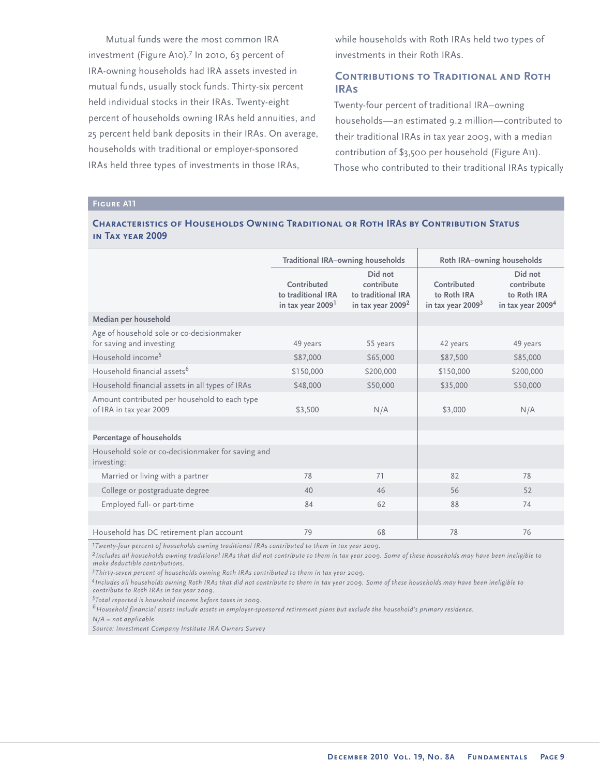Mutual funds were the most common IRA investment (Figure A10).<sup>7</sup> In 2010, 63 percent of IRA-owning households had IRA assets invested in mutual funds, usually stock funds. Thirty-six percent held individual stocks in their IRAs. Twenty-eight percent of households owning IRAs held annuities, and 25 percent held bank deposits in their IRAs. On average, households with traditional or employer-sponsored IRAs held three types of investments in those IRAs,

while households with Roth IRAs held two types of investments in their Roth IRAs.

# **Contributions to Traditional and Roth IRAs**

Twenty-four percent of traditional IRA–owning households—an estimated 9.2 million—contributed to their traditional IRAs in tax year 2009, with a median contribution of \$3,500 per household (Figure A11). Those who contributed to their traditional IRAs typically

#### **Figure A11**

## **Characteristics of Households Owning Traditional or Roth IRAs by Contribution Status in Tax year 2009**

|                                                                          | <b>Traditional IRA-owning households</b>                           |                                                                              | Roth IRA-owning households                        |                                                                       |  |
|--------------------------------------------------------------------------|--------------------------------------------------------------------|------------------------------------------------------------------------------|---------------------------------------------------|-----------------------------------------------------------------------|--|
|                                                                          | Contributed<br>to traditional IRA<br>in tax year 2009 <sup>1</sup> | Did not<br>contribute<br>to traditional IRA<br>in tax year 2009 <sup>2</sup> | Contributed<br>to Roth IRA<br>in tax year $20093$ | Did not<br>contribute<br>to Roth IRA<br>in tax year 2009 <sup>4</sup> |  |
| Median per household                                                     |                                                                    |                                                                              |                                                   |                                                                       |  |
| Age of household sole or co-decisionmaker<br>for saving and investing    | 49 years                                                           | 55 years                                                                     | 42 years                                          | 49 years                                                              |  |
| Household income <sup>5</sup>                                            | \$87,000                                                           | \$65,000                                                                     | \$87,500                                          | \$85,000                                                              |  |
| Household financial assets <sup>6</sup>                                  | \$150,000                                                          | \$200,000                                                                    | \$150,000                                         | \$200,000                                                             |  |
| Household financial assets in all types of IRAs                          | \$48,000                                                           | \$50,000                                                                     | \$35,000                                          | \$50,000                                                              |  |
| Amount contributed per household to each type<br>of IRA in tax year 2009 | \$3,500                                                            | N/A                                                                          | \$3,000                                           | N/A                                                                   |  |
|                                                                          |                                                                    |                                                                              |                                                   |                                                                       |  |
| <b>Percentage of households</b>                                          |                                                                    |                                                                              |                                                   |                                                                       |  |
| Household sole or co-decisionmaker for saving and<br>investing:          |                                                                    |                                                                              |                                                   |                                                                       |  |
| Married or living with a partner                                         | 78                                                                 | 71                                                                           | 82                                                | 78                                                                    |  |
| College or postgraduate degree                                           | 40                                                                 | 46                                                                           | 56                                                | 52                                                                    |  |
| Employed full- or part-time                                              | 84                                                                 | 62                                                                           | 88                                                | 74                                                                    |  |
|                                                                          |                                                                    |                                                                              |                                                   |                                                                       |  |
| Household has DC retirement plan account                                 | 79                                                                 | 68                                                                           | 78                                                | 76                                                                    |  |

*1Twenty-four percent of households owning traditional IRAs contributed to them in tax year 2009.*

*2 Includes all households owning traditional IRAs that did not contribute to them in tax year 2009. Some of these households may have been ineligible to make deductible contributions.*

*3 Thirty-seven percent of households owning Roth IRAs contributed to them in tax year 2009.*

*<sup>4</sup> Includes all households owning Roth IRAs that did not contribute to them in tax year 2009. Some of these households may have been ineligible to contribute to Roth IRAs in tax year 2009.* 

*5 Total reported is household income before taxes in 2009.*

*6Household financial assets include assets in employer-sponsored retirement plans but exclude the household's primary residence.*

*N/A = not applicable*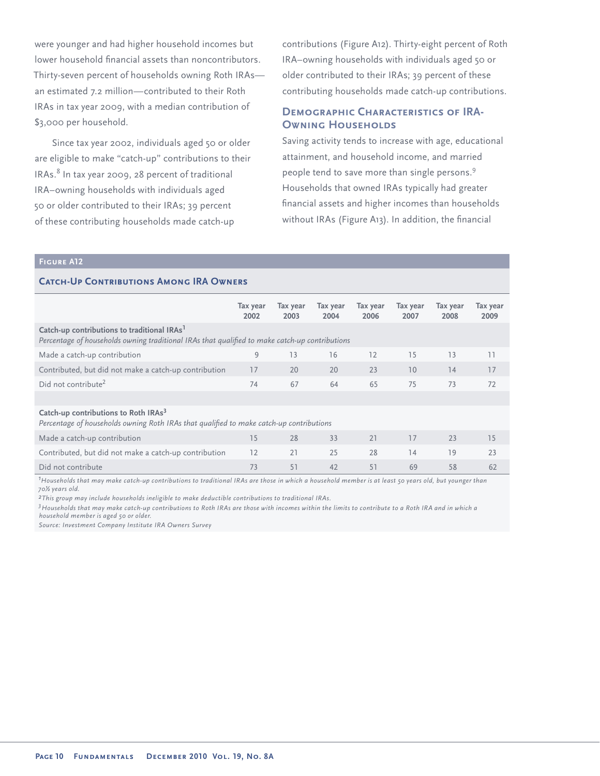were younger and had higher household incomes but lower household financial assets than noncontributors. Thirty-seven percent of households owning Roth IRAs an estimated 7.2 million—contributed to their Roth IRAs in tax year 2009, with a median contribution of \$3,000 per household.

Since tax year 2002, individuals aged 50 or older are eligible to make "catch-up" contributions to their IRAs.<sup>8</sup> In tax year 2009, 28 percent of traditional IRA–owning households with individuals aged 50 or older contributed to their IRAs; 39 percent of these contributing households made catch-up

contributions (Figure A12). Thirty-eight percent of Roth IRA–owning households with individuals aged 50 or older contributed to their IRAs; 39 percent of these contributing households made catch-up contributions.

# **DEMOGRAPHIC CHARACTERISTICS OF IRA-OWNING HOUSEHOLDS**

Saving activity tends to increase with age, educational attainment, and household income, and married people tend to save more than single persons.<sup>9</sup> Households that owned IRAs typically had greater financial assets and higher incomes than households without IRAs (Figure A13). In addition, the financial

#### **Figure A12**

## **CATCH-UP CONTRIBUTIONS AMONG IRA OWNERS**

|                                                                                                                                                           | Tax year<br>2002 | Tax year<br>2003 | Tax year<br>2004 | Tax year<br>2006 | Tax year<br>2007 | Tax year<br>2008 | Tax year<br>2009 |
|-----------------------------------------------------------------------------------------------------------------------------------------------------------|------------------|------------------|------------------|------------------|------------------|------------------|------------------|
| Catch-up contributions to traditional IRAs <sup>1</sup><br>Percentage of households owning traditional IRAs that qualified to make catch-up contributions |                  |                  |                  |                  |                  |                  |                  |
| Made a catch-up contribution                                                                                                                              | 9                | 13               | 16               | 12               | 15               | 13               | 11               |
| Contributed, but did not make a catch-up contribution                                                                                                     | 17               | 20               | 20               | 23               | 10               | 14               | 17               |
| Did not contribute <sup>2</sup>                                                                                                                           | 74               | 67               | 64               | 65               | 75               | 73               | 72               |
|                                                                                                                                                           |                  |                  |                  |                  |                  |                  |                  |
| Catch-up contributions to Roth IRAs <sup>3</sup><br>Percentage of households owning Roth IRAs that qualified to make catch-up contributions               |                  |                  |                  |                  |                  |                  |                  |
| Made a catch-up contribution                                                                                                                              | 15               | 28               | 33               | 21               | 17               | 23               | 15               |
| Contributed, but did not make a catch-up contribution                                                                                                     | 12               | 21               | 25               | 28               | 14               | 19               | 23               |
| Did not contribute                                                                                                                                        | 73               | 51               | 42               | 51               | 69               | 58               | 62               |

*1 Households that may make catch-up contributions to traditional IRAs are those in which a household member is at least 50 years old, but younger than 70½ years old.*

*2This group may include households ineligible to make deductible contributions to traditional IRAs.* 

*3Households that may make catch-up contributions to Roth IRAs are those with incomes within the limits to contribute to a Roth IRA and in which a household member is aged 50 or older.*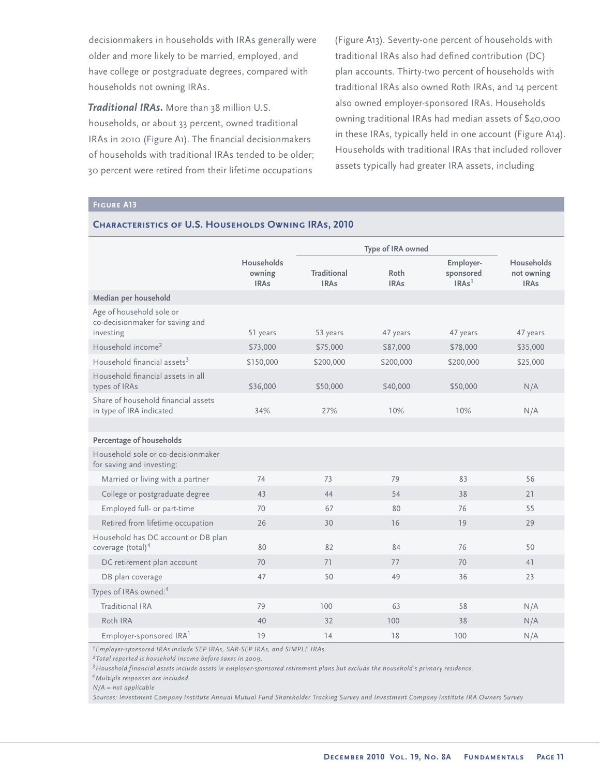decisionmakers in households with IRAs generally were older and more likely to be married, employed, and have college or postgraduate degrees, compared with households not owning IRAs.

*Traditional IRAs.* More than 38 million U.S. households, or about 33 percent, owned traditional IRAs in 2010 (Figure A1). The financial decisionmakers of households with traditional IRAs tended to be older; 30 percent were retired from their lifetime occupations

**CHARACTERISTICS OF U.S. HOUSEHOLDS OWNING IRAS, 2010** 

(Figure A13). Seventy-one percent of households with traditional IRAs also had defined contribution (DC) plan accounts. Thirty-two percent of households with traditional IRAs also owned Roth IRAs, and 14 percent also owned employer-sponsored IRAs. Households owning traditional IRAs had median assets of \$40,000 in these IRAs, typically held in one account (Figure A14). Households with traditional IRAs that included rollover assets typically had greater IRA assets, including

## **Figure A13**

|                                                                          |                                     |                                   | Type of IRA owned   |                                             |                                                |
|--------------------------------------------------------------------------|-------------------------------------|-----------------------------------|---------------------|---------------------------------------------|------------------------------------------------|
|                                                                          | Households<br>owning<br><b>IRAs</b> | <b>Traditional</b><br><b>IRAs</b> | Roth<br><b>IRAs</b> | Employer-<br>sponsored<br>IRAs <sup>1</sup> | <b>Households</b><br>not owning<br><b>IRAs</b> |
| Median per household                                                     |                                     |                                   |                     |                                             |                                                |
| Age of household sole or<br>co-decisionmaker for saving and<br>investing | 51 years                            | 53 years                          | 47 years            | 47 years                                    | 47 years                                       |
| Household income <sup>2</sup>                                            | \$73,000                            | \$75,000                          | \$87,000            | \$78,000                                    | \$35,000                                       |
| Household financial assets <sup>3</sup>                                  | \$150,000                           | \$200,000                         | \$200,000           | \$200,000                                   | \$25,000                                       |
| Household financial assets in all<br>types of IRAs                       | \$36,000                            | \$50,000                          | \$40,000            | \$50,000                                    | N/A                                            |
| Share of household financial assets<br>in type of IRA indicated          | 34%                                 | 27%                               | 10%                 | 10%                                         | N/A                                            |
|                                                                          |                                     |                                   |                     |                                             |                                                |
| Percentage of households                                                 |                                     |                                   |                     |                                             |                                                |
| Household sole or co-decisionmaker<br>for saving and investing:          |                                     |                                   |                     |                                             |                                                |
| Married or living with a partner                                         | 74                                  | 73                                | 79                  | 83                                          | 56                                             |
| College or postgraduate degree                                           | 43                                  | 44                                | 54                  | 38                                          | 21                                             |
| Employed full- or part-time                                              | 70                                  | 67                                | 80                  | 76                                          | 55                                             |
| Retired from lifetime occupation                                         | 26                                  | 30                                | 16                  | 19                                          | 29                                             |
| Household has DC account or DB plan<br>coverage (total) <sup>4</sup>     | 80                                  | 82                                | 84                  | 76                                          | 50                                             |
| DC retirement plan account                                               | 70                                  | 71                                | 77                  | 70                                          | 41                                             |
| DB plan coverage                                                         | 47                                  | 50                                | 49                  | 36                                          | 23                                             |
| Types of IRAs owned: <sup>4</sup>                                        |                                     |                                   |                     |                                             |                                                |
| Traditional IRA                                                          | 79                                  | 100                               | 63                  | 58                                          | N/A                                            |
| Roth IRA                                                                 | 40                                  | 32                                | 100                 | 38                                          | N/A                                            |
| Employer-sponsored IRA <sup>1</sup>                                      | 19                                  | 14                                | 18                  | 100                                         | N/A                                            |

*1Employer-sponsored IRAs include SEP IRAs, SAR-SEP IRAs, and SIMPLE IRAs.*

*2Total reported is household income before taxes in 2009.*

*3Household financial assets include assets in employer-sponsored retirement plans but exclude the household's primary residence.*

*4Multiple responses are included.* 

*N/A = not applicable* 

*Sources: Investment Company Institute Annual Mutual Fund Shareholder Tracking Survey and Investment Company Institute IRA Owners Survey*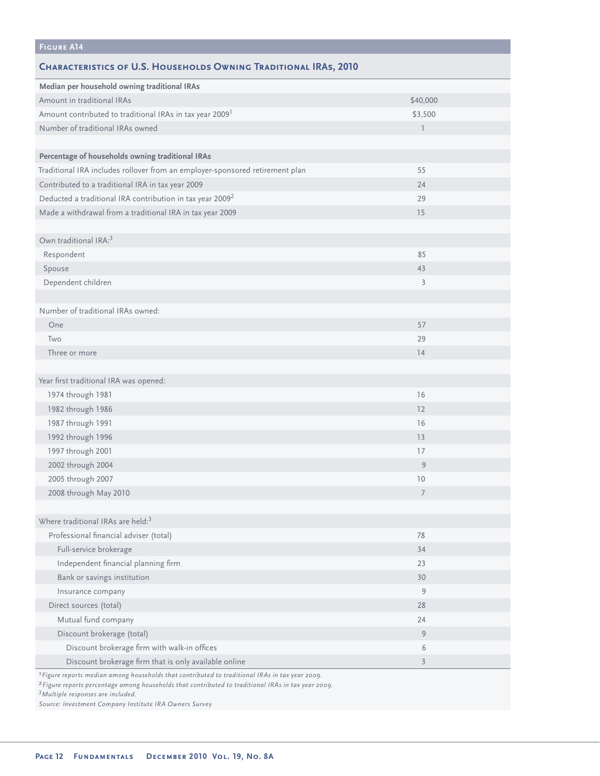| <b>FIGURE A14</b>                                                                                          |              |  |
|------------------------------------------------------------------------------------------------------------|--------------|--|
| <b>CHARACTERISTICS OF U.S. HOUSEHOLDS OWNING TRADITIONAL IRAS, 2010</b>                                    |              |  |
| Median per household owning traditional IRAs                                                               |              |  |
| Amount in traditional IRAs                                                                                 | \$40,000     |  |
| Amount contributed to traditional IRAs in tax year 2009 <sup>1</sup>                                       | \$3,500      |  |
| Number of traditional IRAs owned                                                                           | $\mathbb{I}$ |  |
|                                                                                                            |              |  |
| Percentage of households owning traditional IRAs                                                           |              |  |
| Traditional IRA includes rollover from an employer-sponsored retirement plan                               | 55           |  |
| Contributed to a traditional IRA in tax year 2009                                                          | 24           |  |
| Deducted a traditional IRA contribution in tax year 2009 <sup>2</sup>                                      | 29           |  |
| Made a withdrawal from a traditional IRA in tax year 2009                                                  | 15           |  |
|                                                                                                            |              |  |
| Own traditional IRA: <sup>3</sup>                                                                          |              |  |
| Respondent                                                                                                 | 85           |  |
| Spouse                                                                                                     | 43           |  |
| Dependent children                                                                                         | 3            |  |
|                                                                                                            |              |  |
| Number of traditional IRAs owned:                                                                          |              |  |
| One                                                                                                        | 57           |  |
| Two                                                                                                        | 29           |  |
| Three or more                                                                                              | 14           |  |
|                                                                                                            |              |  |
| Year first traditional IRA was opened:                                                                     |              |  |
| 1974 through 1981                                                                                          | 16           |  |
| 1982 through 1986                                                                                          | 12           |  |
| 1987 through 1991                                                                                          | 16           |  |
| 1992 through 1996                                                                                          | 13           |  |
| 1997 through 2001                                                                                          | 17           |  |
| 2002 through 2004                                                                                          | 9            |  |
| 2005 through 2007                                                                                          | 10           |  |
| 2008 through May 2010                                                                                      | 7            |  |
|                                                                                                            |              |  |
| Where traditional IRAs are held: <sup>3</sup>                                                              |              |  |
| Professional financial adviser (total)                                                                     | 78           |  |
| Full-service brokerage                                                                                     | 34           |  |
| Independent financial planning firm                                                                        | 23           |  |
| Bank or savings institution                                                                                | 30           |  |
| Insurance company                                                                                          | 9            |  |
| Direct sources (total)                                                                                     | 28           |  |
| Mutual fund company                                                                                        | 24           |  |
| Discount brokerage (total)                                                                                 | 9            |  |
| Discount brokerage firm with walk-in offices                                                               | 6            |  |
| Discount brokerage firm that is only available online                                                      | 3            |  |
| <sup>1</sup> Figure reports median among households that contributed to traditional IRAs in tax year 2009. |              |  |

*2Figure reports percentage among households that contributed to traditional IRAs in tax year 2009.*

*3Multiple responses are included.*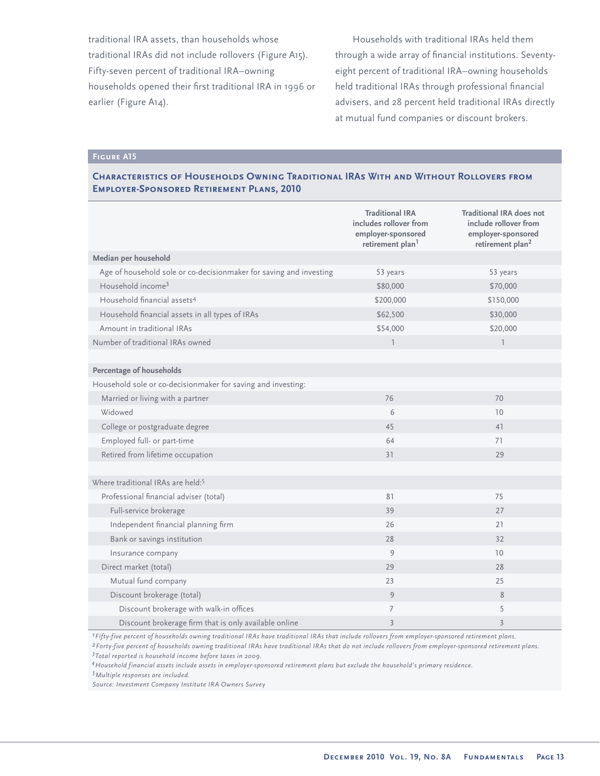traditional IRA assets, than households whose traditional IRAs did not include rollovers (Figure A15). Fifty-seven percent of traditional IRA–owning households opened their first traditional IRA in 1996 or earlier (Figure A14).

Households with traditional IRAs held them through a wide array of financial institutions. Seventyeight percent of traditional IRA–owning households held traditional IRAs through professional financial advisers, and 28 percent held traditional IRAs directly at mutual fund companies or discount brokers.

# **Figure A15**

# **Characteristics of Households Owning Traditional IRAs With and Without Rollovers from Employer-Sponsored Retirement Plans, 2010**

|                                                                    | <b>Traditional IRA</b><br>includes rollover from<br>employer-sponsored<br>retirement plan <sup>1</sup> | <b>Traditional IRA does not</b><br>include rollover from<br>employer-sponsored<br>retirement plan <sup>2</sup> |
|--------------------------------------------------------------------|--------------------------------------------------------------------------------------------------------|----------------------------------------------------------------------------------------------------------------|
| Median per household                                               |                                                                                                        |                                                                                                                |
| Age of household sole or co-decisionmaker for saving and investing | 53 years                                                                                               | 53 years                                                                                                       |
| Household income <sup>3</sup>                                      | \$80,000                                                                                               | \$70,000                                                                                                       |
| Household financial assets <sup>4</sup>                            | \$200,000                                                                                              | \$150,000                                                                                                      |
| Household financial assets in all types of IRAs                    | \$62,500                                                                                               | \$30,000                                                                                                       |
| Amount in traditional IRAs                                         | \$54,000                                                                                               | \$20,000                                                                                                       |
| Number of traditional IRAs owned                                   | $\overline{1}$                                                                                         | $\overline{1}$                                                                                                 |
|                                                                    |                                                                                                        |                                                                                                                |
| Percentage of households                                           |                                                                                                        |                                                                                                                |
| Household sole or co-decisionmaker for saving and investing:       |                                                                                                        |                                                                                                                |
| Married or living with a partner                                   | 76                                                                                                     | 70                                                                                                             |
| Widowed                                                            | 6                                                                                                      | 10                                                                                                             |
| College or postgraduate degree                                     | 45                                                                                                     | 41                                                                                                             |
| Employed full- or part-time                                        | 64                                                                                                     | 71                                                                                                             |
| Retired from lifetime occupation                                   | 31                                                                                                     | 29                                                                                                             |
|                                                                    |                                                                                                        |                                                                                                                |
| Where traditional IRAs are held: <sup>5</sup>                      |                                                                                                        |                                                                                                                |
| Professional financial adviser (total)                             | 81                                                                                                     | 75                                                                                                             |
| Full-service brokerage                                             | 39                                                                                                     | 27                                                                                                             |
| Independent financial planning firm                                | 26                                                                                                     | 21                                                                                                             |
| Bank or savings institution                                        | 28                                                                                                     | 32                                                                                                             |
| Insurance company                                                  | 9                                                                                                      | 10                                                                                                             |
| Direct market (total)                                              | 29                                                                                                     | 28                                                                                                             |
| Mutual fund company                                                | 23                                                                                                     | 25                                                                                                             |
| Discount brokerage (total)                                         | 9                                                                                                      | 8                                                                                                              |
| Discount brokerage with walk-in offices                            | $\overline{7}$                                                                                         | 5                                                                                                              |
| Discount brokerage firm that is only available online              | 3                                                                                                      | $\overline{3}$                                                                                                 |

*1Fifty-five percent of households owning traditional IRAs have traditional IRAs that include rollovers from employer-sponsored retirement plans. 2Forty-five percent of households owning traditional IRAs have traditional IRAs that do not include rollovers from employer-sponsored retirement plans. 3 Total reported is household income before taxes in 2009.*

*4Household financial assets include assets in employer-sponsored retirement plans but exclude the household's primary residence.*

*5Multiple responses are included.*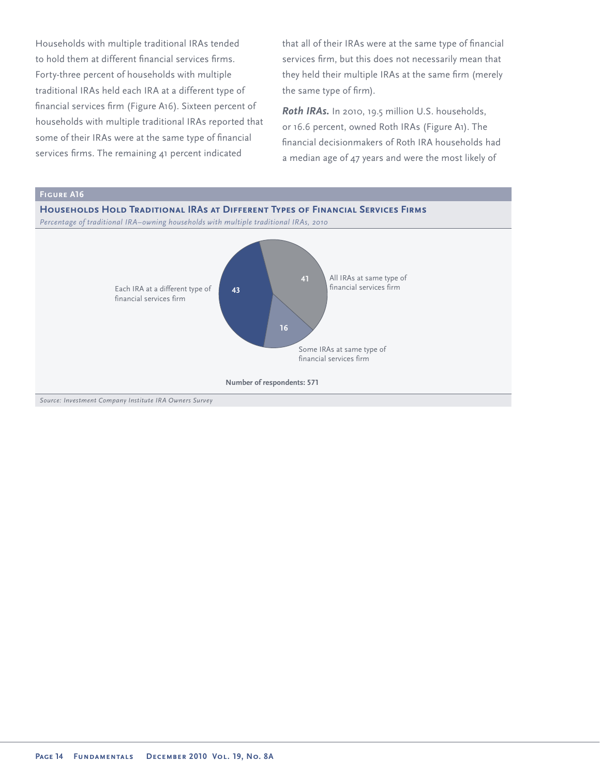Households with multiple traditional IRAs tended to hold them at different financial services firms. Forty-three percent of households with multiple traditional IRAs held each IRA at a different type of financial services firm (Figure A16). Sixteen percent of households with multiple traditional IRAs reported that some of their IRAs were at the same type of financial services firms. The remaining 41 percent indicated

that all of their IRAs were at the same type of financial services firm, but this does not necessarily mean that they held their multiple IRAs at the same firm (merely the same type of firm).

*Roth IRAs.* In 2010, 19.5 million U.S. households, or 16.6 percent, owned Roth IRAs (Figure A1). The financial decisionmakers of Roth IRA households had a median age of 47 years and were the most likely of

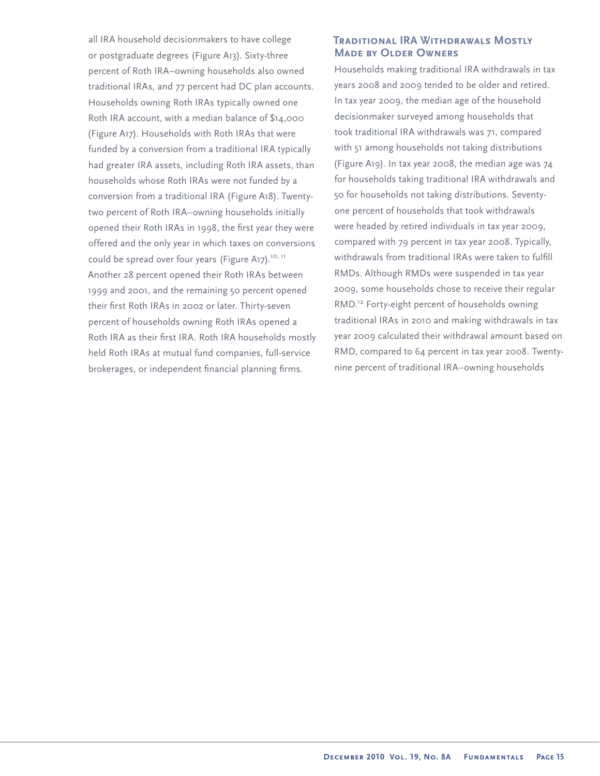all IRA household decisionmakers to have college or postgraduate degrees (Figure A13). Sixty-three percent of Roth IRA–owning households also owned traditional IRAs, and 77 percent had DC plan accounts. Households owning Roth IRAs typically owned one Roth IRA account, with a median balance of \$14,000 (Figure A17). Households with Roth IRAs that were funded by a conversion from a traditional IRA typically had greater IRA assets, including Roth IRA assets, than households whose Roth IRAs were not funded by a conversion from a traditional IRA (Figure A18). Twentytwo percent of Roth IRA–owning households initially opened their Roth IRAs in 1998, the first year they were offered and the only year in which taxes on conversions could be spread over four years (Figure A17).<sup>10, 11</sup> Another 28 percent opened their Roth IRAs between 1999 and 2001, and the remaining 50 percent opened their first Roth IRAs in 2002 or later. Thirty-seven percent of households owning Roth IRAs opened a Roth IRA as their first IRA. Roth IRA households mostly held Roth IRAs at mutual fund companies, full-service brokerages, or independent financial planning firms.

## **Traditional IRA Withdrawals Mostly Made by Older Owners**

Households making traditional IRA withdrawals in tax years 2008 and 2009 tended to be older and retired. In tax year 2009, the median age of the household decisionmaker surveyed among households that took traditional IRA withdrawals was 71, compared with 51 among households not taking distributions (Figure A19). In tax year 2008, the median age was 74 for households taking traditional IRA withdrawals and 50 for households not taking distributions. Seventyone percent of households that took withdrawals were headed by retired individuals in tax year 2009, compared with 79 percent in tax year 2008. Typically, withdrawals from traditional IRAs were taken to fulfill RMDs. Although RMDs were suspended in tax year 2009, some households chose to receive their regular RMD.<sup>12</sup> Forty-eight percent of households owning traditional IRAs in 2010 and making withdrawals in tax year 2009 calculated their withdrawal amount based on RMD, compared to 64 percent in tax year 2008. Twentynine percent of traditional IRA–owning households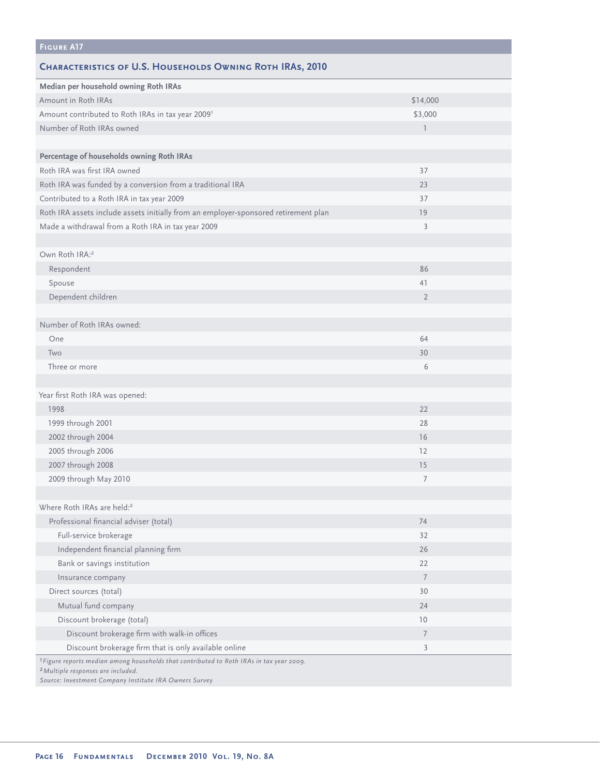| <b>FIGURE A17</b>                                                                                                                                    |                          |
|------------------------------------------------------------------------------------------------------------------------------------------------------|--------------------------|
| <b>CHARACTERISTICS OF U.S. HOUSEHOLDS OWNING ROTH IRAS, 2010</b>                                                                                     |                          |
| Median per household owning Roth IRAs                                                                                                                |                          |
| Amount in Roth IRAs                                                                                                                                  | \$14,000                 |
| Amount contributed to Roth IRAs in tax year 2009 <sup>1</sup>                                                                                        | \$3,000                  |
| Number of Roth IRAs owned                                                                                                                            | $\overline{\phantom{a}}$ |
|                                                                                                                                                      |                          |
| Percentage of households owning Roth IRAs                                                                                                            |                          |
| Roth IRA was first IRA owned                                                                                                                         | 37                       |
| Roth IRA was funded by a conversion from a traditional IRA                                                                                           | 23                       |
| Contributed to a Roth IRA in tax year 2009                                                                                                           | 37                       |
| Roth IRA assets include assets initially from an employer-sponsored retirement plan                                                                  | 19                       |
| Made a withdrawal from a Roth IRA in tax year 2009                                                                                                   | 3                        |
|                                                                                                                                                      |                          |
| Own Roth IRA: <sup>2</sup>                                                                                                                           |                          |
| Respondent                                                                                                                                           | 86                       |
| Spouse                                                                                                                                               | 41                       |
| Dependent children                                                                                                                                   | $\overline{2}$           |
|                                                                                                                                                      |                          |
| Number of Roth IRAs owned:                                                                                                                           |                          |
| One                                                                                                                                                  | 64                       |
| Two                                                                                                                                                  | 30                       |
| Three or more                                                                                                                                        | 6                        |
|                                                                                                                                                      |                          |
| Year first Roth IRA was opened:                                                                                                                      |                          |
| 1998                                                                                                                                                 | 22                       |
| 1999 through 2001                                                                                                                                    | 28                       |
| 2002 through 2004                                                                                                                                    | 16                       |
| 2005 through 2006                                                                                                                                    | 12                       |
| 2007 through 2008                                                                                                                                    | 15                       |
| 2009 through May 2010                                                                                                                                | 7                        |
|                                                                                                                                                      |                          |
| Where Roth IRAs are held: <sup>2</sup>                                                                                                               |                          |
| Professional financial adviser (total)                                                                                                               | 74                       |
| Full-service brokerage                                                                                                                               | 32                       |
| Independent financial planning firm                                                                                                                  | 26                       |
| Bank or savings institution                                                                                                                          | 22                       |
| Insurance company                                                                                                                                    | $\overline{7}$           |
| Direct sources (total)                                                                                                                               | 30                       |
| Mutual fund company                                                                                                                                  | 24                       |
| Discount brokerage (total)                                                                                                                           | 10                       |
| Discount brokerage firm with walk-in offices                                                                                                         | $\overline{7}$           |
| Discount brokerage firm that is only available online                                                                                                | 3                        |
| <sup>1</sup> Figure reports median among households that contributed to Roth IRAs in tax year 2009.<br><sup>2</sup> Multiple responses are included. |                          |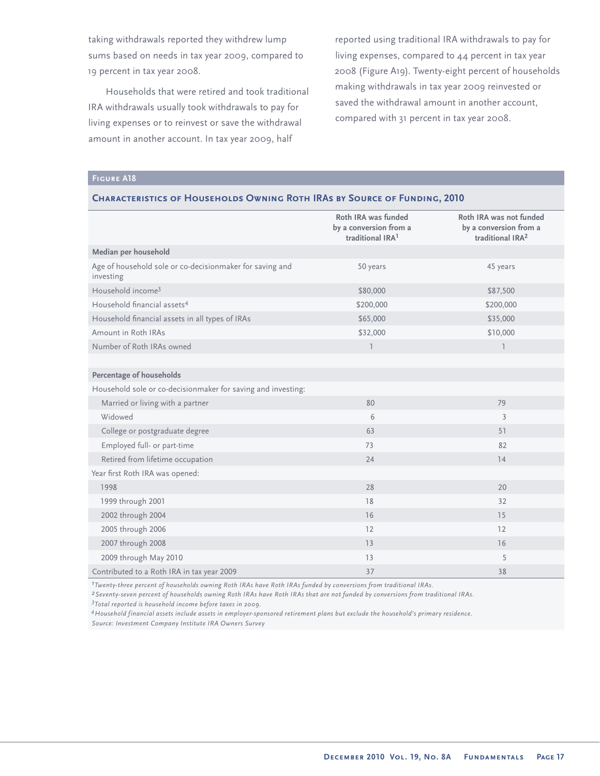taking withdrawals reported they withdrew lump sums based on needs in tax year 2009, compared to 19 percent in tax year 2008.

Households that were retired and took traditional IRA withdrawals usually took withdrawals to pay for living expenses or to reinvest or save the withdrawal amount in another account. In tax year 2009, half

reported using traditional IRA withdrawals to pay for living expenses, compared to 44 percent in tax year 2008 (Figure A19). Twenty-eight percent of households making withdrawals in tax year 2009 reinvested or saved the withdrawal amount in another account, compared with 31 percent in tax year 2008.

# **Figure A18**

#### **Characteristics of Households Owning Roth IRAs by Source of Funding, 2010**

|                                                                       | Roth IRA was funded<br>by a conversion from a<br>traditional IRA <sup>1</sup> | Roth IRA was not funded<br>by a conversion from a<br>traditional IRA <sup>2</sup> |
|-----------------------------------------------------------------------|-------------------------------------------------------------------------------|-----------------------------------------------------------------------------------|
| Median per household                                                  |                                                                               |                                                                                   |
| Age of household sole or co-decisionmaker for saving and<br>investing | 50 years                                                                      | 45 years                                                                          |
| Household income <sup>3</sup>                                         | \$80,000                                                                      | \$87,500                                                                          |
| Household financial assets <sup>4</sup>                               | \$200,000                                                                     | \$200,000                                                                         |
| Household financial assets in all types of IRAs                       | \$65,000                                                                      | \$35,000                                                                          |
| Amount in Roth IRAs                                                   | \$32,000                                                                      | \$10,000                                                                          |
| Number of Roth IRAs owned                                             | $\overline{1}$                                                                | $\overline{1}$                                                                    |
|                                                                       |                                                                               |                                                                                   |
| Percentage of households                                              |                                                                               |                                                                                   |
| Household sole or co-decisionmaker for saving and investing:          |                                                                               |                                                                                   |
| Married or living with a partner                                      | 80                                                                            | 79                                                                                |
| Widowed                                                               | 6                                                                             | $\overline{3}$                                                                    |
| College or postgraduate degree                                        | 63                                                                            | 51                                                                                |
| Employed full- or part-time                                           | 73                                                                            | 82                                                                                |
| Retired from lifetime occupation                                      | 24                                                                            | 14                                                                                |
| Year first Roth IRA was opened:                                       |                                                                               |                                                                                   |
| 1998                                                                  | 28                                                                            | 20                                                                                |
| 1999 through 2001                                                     | 18                                                                            | 32                                                                                |
| 2002 through 2004                                                     | 16                                                                            | 15                                                                                |
| 2005 through 2006                                                     | 12                                                                            | 12                                                                                |
| 2007 through 2008                                                     | 13                                                                            | 16                                                                                |
| 2009 through May 2010                                                 | 13                                                                            | 5                                                                                 |
| Contributed to a Roth IRA in tax year 2009                            | 37                                                                            | 38                                                                                |

*1Twenty-three percent of households owning Roth IRAs have Roth IRAs funded by conversions from traditional IRAs.*

*2Seventy-seven percent of households owning Roth IRAs have Roth IRAs that are not funded by conversions from traditional IRAs. 3 Total reported is household income before taxes in 2009.*

*4Household financial assets include assets in employer-sponsored retirement plans but exclude the household's primary residence. Source: Investment Company Institute IRA Owners Survey*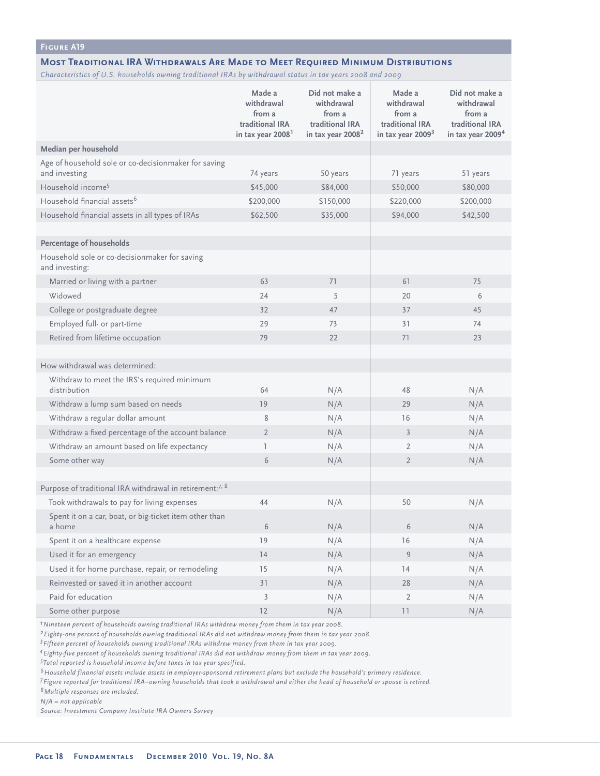#### **Most Traditional IRA Withdrawals Are Made to Meet Required Minimum Distributions**

*Characteristics of U.S. households owning traditional IRAs by withdrawal status in tax years 2008 and 2009*

|                                                                       | Made a                                  | Did not make a                          | Made a                                  | Did not make a                          |
|-----------------------------------------------------------------------|-----------------------------------------|-----------------------------------------|-----------------------------------------|-----------------------------------------|
|                                                                       | withdrawal<br>from a<br>traditional IRA | withdrawal<br>from a<br>traditional IRA | withdrawal<br>from a<br>traditional IRA | withdrawal<br>from a<br>traditional IRA |
|                                                                       | in tax year 2008 <sup>1</sup>           | in tax year 2008 <sup>2</sup>           | in tax year 2009 <sup>3</sup>           | in tax year 2009 <sup>4</sup>           |
| Median per household                                                  |                                         |                                         |                                         |                                         |
| Age of household sole or co-decisionmaker for saving<br>and investing | 74 years                                | 50 years                                | 71 years                                | 51 years                                |
| Household income <sup>5</sup>                                         | \$45,000                                | \$84,000                                | \$50,000                                | \$80,000                                |
| Household financial assets <sup>6</sup>                               | \$200,000                               | \$150,000                               | \$220,000                               | \$200,000                               |
| Household financial assets in all types of IRAs                       | \$62,500                                | \$35,000                                | \$94,000                                | \$42,500                                |
|                                                                       |                                         |                                         |                                         |                                         |
| <b>Percentage of households</b>                                       |                                         |                                         |                                         |                                         |
| Household sole or co-decisionmaker for saving<br>and investing:       |                                         |                                         |                                         |                                         |
| Married or living with a partner                                      | 63                                      | 71                                      | 61                                      | 75                                      |
| Widowed                                                               | 24                                      | 5                                       | 20                                      | 6                                       |
| College or postgraduate degree                                        | 32                                      | 47                                      | 37                                      | 45                                      |
| Employed full- or part-time                                           | 29                                      | 73                                      | 31                                      | 74                                      |
| Retired from lifetime occupation                                      | 79                                      | 22                                      | 71                                      | 23                                      |
|                                                                       |                                         |                                         |                                         |                                         |
| How withdrawal was determined:                                        |                                         |                                         |                                         |                                         |
| Withdraw to meet the IRS's required minimum<br>distribution           | 64                                      | N/A                                     | 48                                      | N/A                                     |
| Withdraw a lump sum based on needs                                    | 19                                      | N/A                                     | 29                                      | N/A                                     |
| Withdraw a regular dollar amount                                      | 8                                       | N/A                                     | 16                                      | N/A                                     |
| Withdraw a fixed percentage of the account balance                    | $\overline{2}$                          | N/A                                     | $\overline{3}$                          | N/A                                     |
| Withdraw an amount based on life expectancy                           | T                                       | N/A                                     | $\overline{2}$                          | N/A                                     |
| Some other way                                                        | 6                                       | N/A                                     | $\overline{2}$                          | N/A                                     |
|                                                                       |                                         |                                         |                                         |                                         |
| Purpose of traditional IRA withdrawal in retirement: <sup>7, 8</sup>  |                                         |                                         |                                         |                                         |
| Took withdrawals to pay for living expenses                           | 44                                      | N/A                                     | 50                                      | N/A                                     |
| Spent it on a car, boat, or big-ticket item other than<br>a home      | 6                                       | N/A                                     | 6                                       | N/A                                     |
| Spent it on a healthcare expense                                      | 19                                      | N/A                                     | 16                                      | N/A                                     |
| Used it for an emergency                                              | 14                                      | N/A                                     | 9                                       | N/A                                     |
| Used it for home purchase, repair, or remodeling                      | 15                                      | N/A                                     | 14                                      | N/A                                     |
| Reinvested or saved it in another account                             | 31                                      | N/A                                     | 28                                      | N/A                                     |
| Paid for education                                                    | $\mathfrak{Z}$                          | N/A                                     | $\overline{2}$                          | N/A                                     |
| Some other purpose                                                    | 12                                      | N/A                                     | $\begin{array}{c} 1 \end{array}$        | N/A                                     |

*1Nineteen percent of households owning traditional IRAs withdrew money from them in tax year 2008.*

*2Eighty-one percent of households owning traditional IRAs did not withdraw money from them in tax year 2008.*

*3Fifteen percent of households owning traditional IRAs withdrew money from them in tax year 2009.*

*4Eighty-five percent of households owning traditional IRAs did not withdraw money from them in tax year 2009.*

*5 Total reported is household income before taxes in tax year specified.*

*6Household financial assets include assets in employer-sponsored retirement plans but exclude the household's primary residence.*

*7Figure reported for traditional IRA–owning households that took a withdrawal and either the head of household or spouse is retired. 8Multiple responses are included.*

*N/A = not applicable*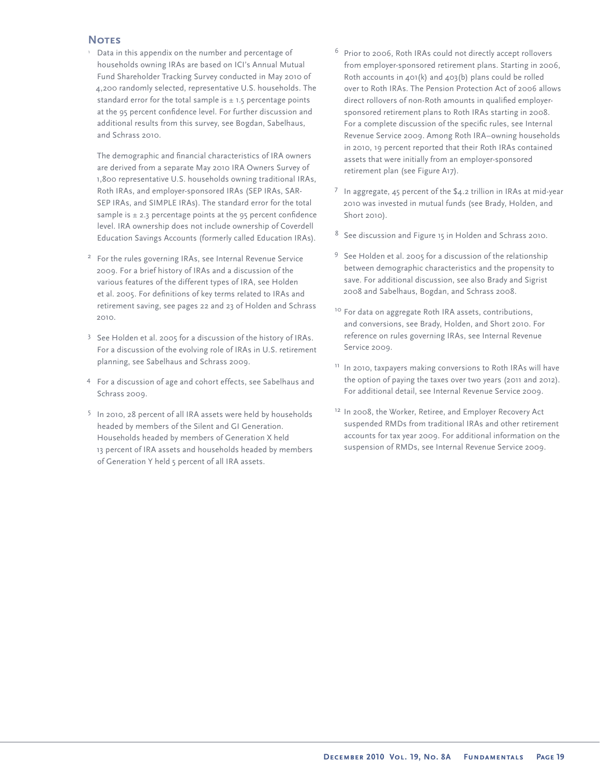## **Notes**

<sup>1</sup> Data in this appendix on the number and percentage of households owning IRAs are based on ICI's Annual Mutual Fund Shareholder Tracking Survey conducted in May 2010 of 4,200 randomly selected, representative U.S. households. The standard error for the total sample is  $\pm$  1.5 percentage points at the 95 percent confidence level. For further discussion and additional results from this survey, see Bogdan, Sabelhaus, and Schrass 2010.

The demographic and financial characteristics of IRA owners are derived from a separate May 2010 IRA Owners Survey of 1,800 representative U.S. households owning traditional IRAs, Roth IRAs, and employer-sponsored IRAs (SEP IRAs, SAR-SEP IRAs, and SIMPLE IRAs). The standard error for the total sample is  $\pm$  2.3 percentage points at the 95 percent confidence level. IRA ownership does not include ownership of Coverdell Education Savings Accounts (formerly called Education IRAs).

- <sup>2</sup> For the rules governing IRAs, see Internal Revenue Service 2009. For a brief history of IRAs and a discussion of the various features of the different types of IRA, see Holden et al. 2005. For definitions of key terms related to IRAs and retirement saving, see pages 22 and 23 of Holden and Schrass 2010.
- <sup>3</sup> See Holden et al. 2005 for a discussion of the history of IRAs. For a discussion of the evolving role of IRAs in U.S. retirement planning, see Sabelhaus and Schrass 2009.
- <sup>4</sup>For a discussion of age and cohort effects, see Sabelhaus and Schrass 2009.
- <sup>5</sup> In 2010, 28 percent of all IRA assets were held by households headed by members of the Silent and GI Generation. Households headed by members of Generation X held 13 percent of IRA assets and households headed by members of Generation Y held 5 percent of all IRA assets.
- $6$  Prior to 2006, Roth IRAs could not directly accept rollovers from employer-sponsored retirement plans. Starting in 2006, Roth accounts in 401(k) and 403(b) plans could be rolled over to Roth IRAs. The Pension Protection Act of 2006 allows direct rollovers of non-Roth amounts in qualified employersponsored retirement plans to Roth IRAs starting in 2008. For a complete discussion of the specific rules, see Internal Revenue Service 2009. Among Roth IRA–owning households in 2010, 19 percent reported that their Roth IRAs contained assets that were initially from an employer-sponsored retirement plan (see Figure A17).
- 7 In aggregate, 45 percent of the  $$4.2$  trillion in IRAs at mid-year 2010 was invested in mutual funds (see Brady, Holden, and Short 2010).
- <sup>8</sup> See discussion and Figure 15 in Holden and Schrass 2010.
- 9 See Holden et al. 2005 for a discussion of the relationship between demographic characteristics and the propensity to save. For additional discussion, see also Brady and Sigrist 2008 and Sabelhaus, Bogdan, and Schrass 2008.
- <sup>10</sup> For data on aggregate Roth IRA assets, contributions, and conversions, see Brady, Holden, and Short 2010. For reference on rules governing IRAs, see Internal Revenue Service 2009.
- <sup>11</sup> In 2010, taxpayers making conversions to Roth IRAs will have the option of paying the taxes over two years (2011 and 2012). For additional detail, see Internal Revenue Service 2009.
- <sup>12</sup> In 2008, the Worker, Retiree, and Employer Recovery Act suspended RMDs from traditional IRAs and other retirement accounts for tax year 2009. For additional information on the suspension of RMDs, see Internal Revenue Service 2009.